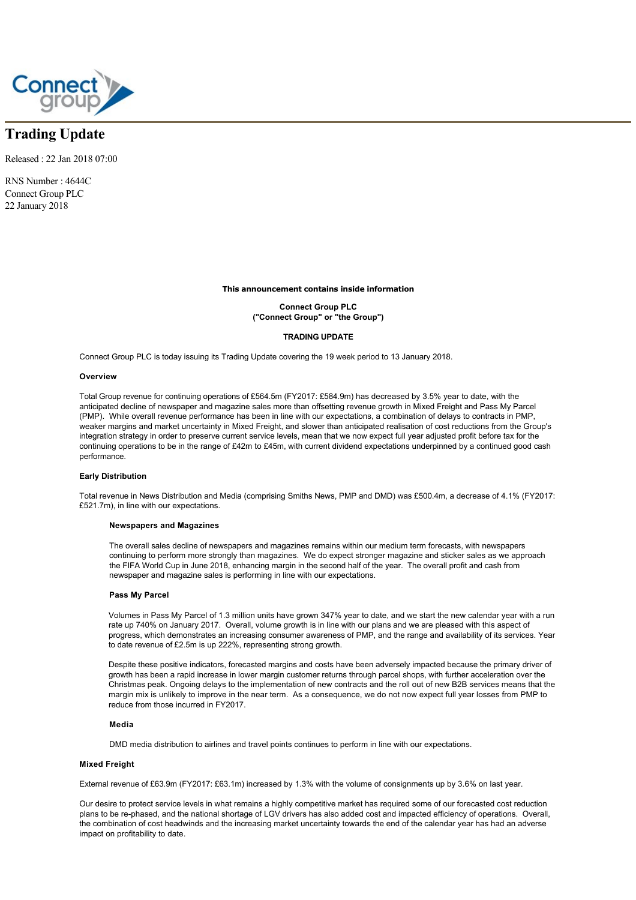

# **Trading Update**

Released : 22 Jan 2018 07:00

RNS Number : 4644C Connect Group PLC 22 January 2018

#### **This announcement contains inside information**

**Connect Group PLC ("Connect Group" or "the Group")**

# **TRADING UPDATE**

Connect Group PLC is today issuing its Trading Update covering the 19 week period to 13 January 2018.

#### **Overview**

Total Group revenue for continuing operations of £564.5m (FY2017: £584.9m) has decreased by 3.5% year to date, with the anticipated decline of newspaper and magazine sales more than offsetting revenue growth in Mixed Freight and Pass My Parcel (PMP). While overall revenue performance has been in line with our expectations, a combination of delays to contracts in PMP, weaker margins and market uncertainty in Mixed Freight, and slower than anticipated realisation of cost reductions from the Group's integration strategy in order to preserve current service levels, mean that we now expect full year adjusted profit before tax for the continuing operations to be in the range of £42m to £45m, with current dividend expectations underpinned by a continued good cash performance.

## **Early Distribution**

Total revenue in News Distribution and Media (comprising Smiths News, PMP and DMD) was £500.4m, a decrease of 4.1% (FY2017: £521.7m), in line with our expectations.

## **Newspapers and Magazines**

The overall sales decline of newspapers and magazines remains within our medium term forecasts, with newspapers continuing to perform more strongly than magazines. We do expect stronger magazine and sticker sales as we approach the FIFA World Cup in June 2018, enhancing margin in the second half of the year. The overall profit and cash from newspaper and magazine sales is performing in line with our expectations.

## **Pass My Parcel**

Volumes in Pass My Parcel of 1.3 million units have grown 347% year to date, and we start the new calendar year with a run rate up 740% on January 2017. Overall, volume growth is in line with our plans and we are pleased with this aspect of progress, which demonstrates an increasing consumer awareness of PMP, and the range and availability of its services. Year to date revenue of £2.5m is up 222%, representing strong growth.

Despite these positive indicators, forecasted margins and costs have been adversely impacted because the primary driver of growth has been a rapid increase in lower margin customer returns through parcel shops, with further acceleration over the Christmas peak. Ongoing delays to the implementation of new contracts and the roll out of new B2B services means that the margin mix is unlikely to improve in the near term. As a consequence, we do not now expect full year losses from PMP to reduce from those incurred in FY2017.

#### **Media**

DMD media distribution to airlines and travel points continues to perform in line with our expectations.

## **Mixed Freight**

External revenue of £63.9m (FY2017: £63.1m) increased by 1.3% with the volume of consignments up by 3.6% on last year.

Our desire to protect service levels in what remains a highly competitive market has required some of our forecasted cost reduction plans to be re-phased, and the national shortage of LGV drivers has also added cost and impacted efficiency of operations. Overall, the combination of cost headwinds and the increasing market uncertainty towards the end of the calendar year has had an adverse impact on profitability to date.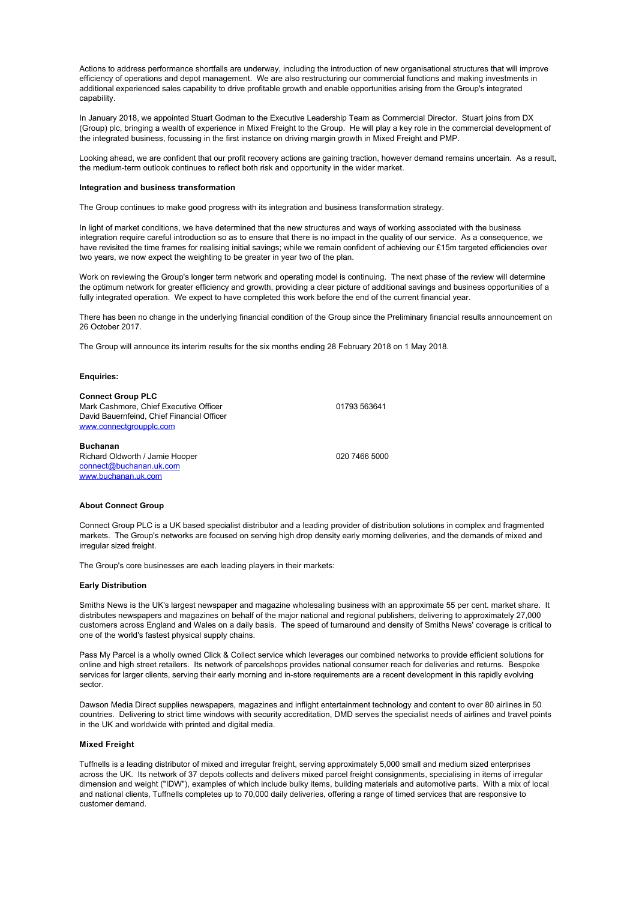Actions to address performance shortfalls are underway, including the introduction of new organisational structures that will improve efficiency of operations and depot management. We are also restructuring our commercial functions and making investments in additional experienced sales capability to drive profitable growth and enable opportunities arising from the Group's integrated capability.

In January 2018, we appointed Stuart Godman to the Executive Leadership Team as Commercial Director. Stuart joins from DX (Group) plc, bringing a wealth of experience in Mixed Freight to the Group. He will play a key role in the commercial development of the integrated business, focussing in the first instance on driving margin growth in Mixed Freight and PMP.

Looking ahead, we are confident that our profit recovery actions are gaining traction, however demand remains uncertain. As a result, the medium-term outlook continues to reflect both risk and opportunity in the wider market.

#### **Integration and business transformation**

The Group continues to make good progress with its integration and business transformation strategy.

In light of market conditions, we have determined that the new structures and ways of working associated with the business integration require careful introduction so as to ensure that there is no impact in the quality of our service. As a consequence, we have revisited the time frames for realising initial savings; while we remain confident of achieving our £15m targeted efficiencies over two years, we now expect the weighting to be greater in year two of the plan.

Work on reviewing the Group's longer term network and operating model is continuing. The next phase of the review will determine the optimum network for greater efficiency and growth, providing a clear picture of additional savings and business opportunities of a fully integrated operation. We expect to have completed this work before the end of the current financial year.

There has been no change in the underlying financial condition of the Group since the Preliminary financial results announcement on 26 October 2017.

The Group will announce its interim results for the six months ending 28 February 2018 on 1 May 2018.

## **Enquiries:**

**Connect Group PLC** Mark Cashmore, Chief Executive Officer David Bauernfeind, Chief Financial Officer [www.connectgroupplc.com](http://www.connectgroupplc.com)

**Buchanan** Richard Oldworth / Jamie Hooper [connect@buchanan.uk.com](mailto:connect@buchanan.uk.com) [www.buchanan.uk.com](http://www.buchanan.uk.com)

01793 563641

020 7466 5000

#### **About Connect Group**

Connect Group PLC is a UK based specialist distributor and a leading provider of distribution solutions in complex and fragmented markets. The Group's networks are focused on serving high drop density early morning deliveries, and the demands of mixed and irregular sized freight.

The Group's core businesses are each leading players in their markets:

### **Early Distribution**

Smiths News is the UK's largest newspaper and magazine wholesaling business with an approximate 55 per cent. market share. It distributes newspapers and magazines on behalf of the major national and regional publishers, delivering to approximately 27,000 customers across England and Wales on a daily basis. The speed of turnaround and density of Smiths News' coverage is critical to one of the world's fastest physical supply chains.

Pass My Parcel is a wholly owned Click & Collect service which leverages our combined networks to provide efficient solutions for online and high street retailers. Its network of parcelshops provides national consumer reach for deliveries and returns. Bespoke services for larger clients, serving their early morning and in-store requirements are a recent development in this rapidly evolving sector.

Dawson Media Direct supplies newspapers, magazines and inflight entertainment technology and content to over 80 airlines in 50 countries. Delivering to strict time windows with security accreditation, DMD serves the specialist needs of airlines and travel points in the UK and worldwide with printed and digital media.

# **Mixed Freight**

Tuffnells is a leading distributor of mixed and irregular freight, serving approximately 5,000 small and medium sized enterprises across the UK. Its network of 37 depots collects and delivers mixed parcel freight consignments, specialising in items of irregular dimension and weight ("IDW"), examples of which include bulky items, building materials and automotive parts. With a mix of local and national clients, Tuffnells completes up to 70,000 daily deliveries, offering a range of timed services that are responsive to customer demand.